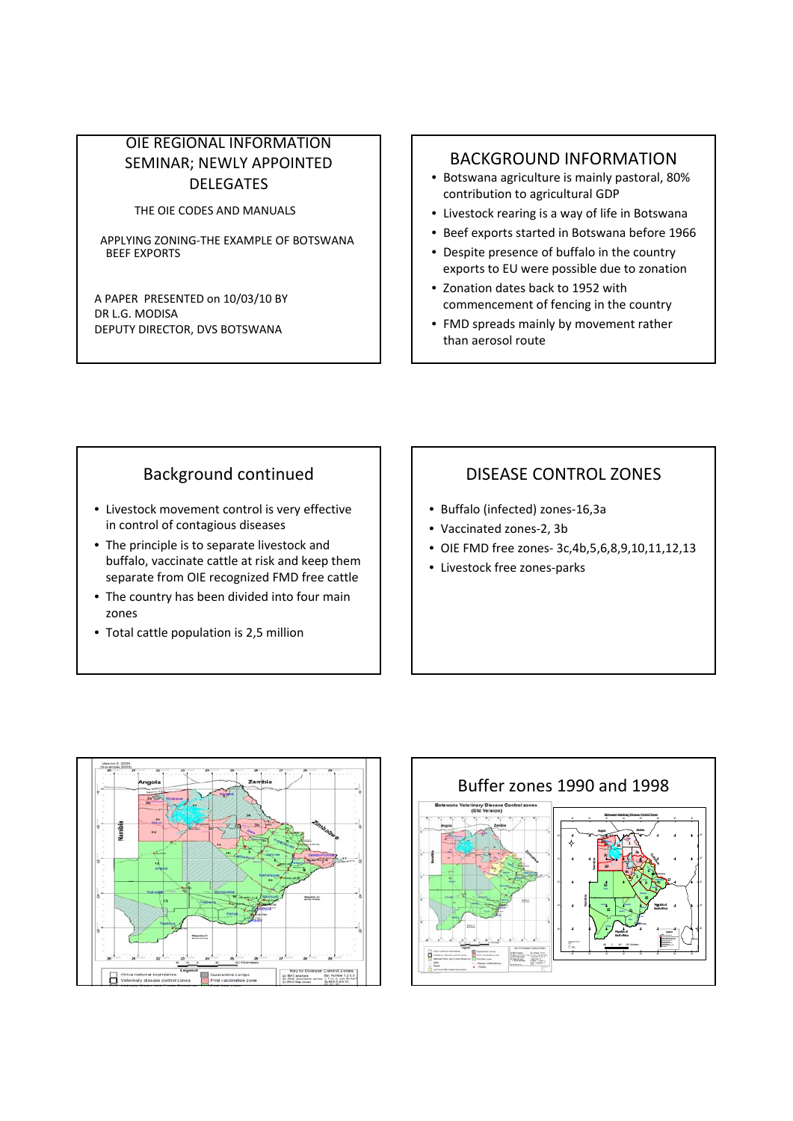#### OIE REGIONAL INFORMATION SEMINAR; NEWLY APPOINTED DELEGATES

THE OIE CODES AND MANUALS

APPLYING ZONING‐THE EXAMPLE OF BOTSWANA BEEF EXPORTS

A PAPER PRESENTED on 10/03/10 BY DR L.G. MODISA DEPUTY DIRECTOR, DVS BOTSWANA

#### BACKGROUND INFORMATION

- Botswana agriculture is mainly pastoral, 80% contribution to agricultural GDP
- Livestock rearing is a way of life in Botswana
- Beef exports started in Botswana before 1966
- Despite presence of buffalo in the country exports to EU were possible due to zonation
- Zonation dates back to 1952 with commencement of fencing in the country
- FMD spreads mainly by movement rather than aerosol route

# Background continued

- Livestock movement control is very effective in control of contagious diseases
- The principle is to separate livestock and buffalo, vaccinate cattle at risk and keep them separate from OIE recognized FMD free cattle
- The country has been divided into four main zones
- Total cattle population is 2,5 million

## DISEASE CONTROL ZONES

- Buffalo (infected) zones‐16,3a
- Vaccinated zones‐2, 3b
- OIE FMD free zones‐ 3c,4b,5,6,8,9,10,11,12,13
- Livestock free zones‐parks



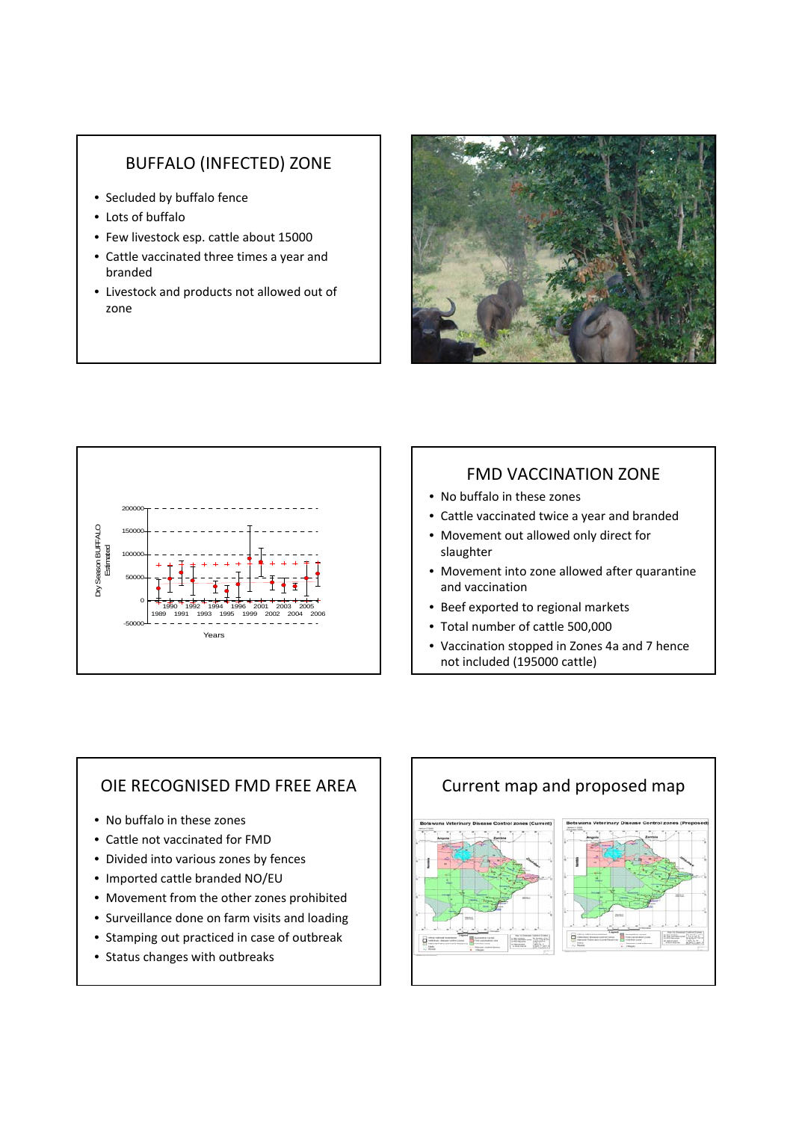### BUFFALO (INFECTED) ZONE

- Secluded by buffalo fence
- Lots of buffalo
- Few livestock esp. cattle about 15000
- Cattle vaccinated three times a year and branded
- Livestock and products not allowed out of zone





# FMD VACCINATION ZONE

- No buffalo in these zones
- Cattle vaccinated twice a year and branded
- Movement out allowed only direct for slaughter
- Movement into zone allowed after quarantine and vaccination
- Beef exported to regional markets
- Total number of cattle 500,000
- Vaccination stopped in Zones 4a and 7 hence not included (195000 cattle)

### OIE RECOGNISED FMD FREE AREA

- No buffalo in these zones
- Cattle not vaccinated for FMD
- Divided into various zones by fences
- Imported cattle branded NO/EU
- Movement from the other zones prohibited
- Surveillance done on farm visits and loading
- Stamping out practiced in case of outbreak
- Status changes with outbreaks

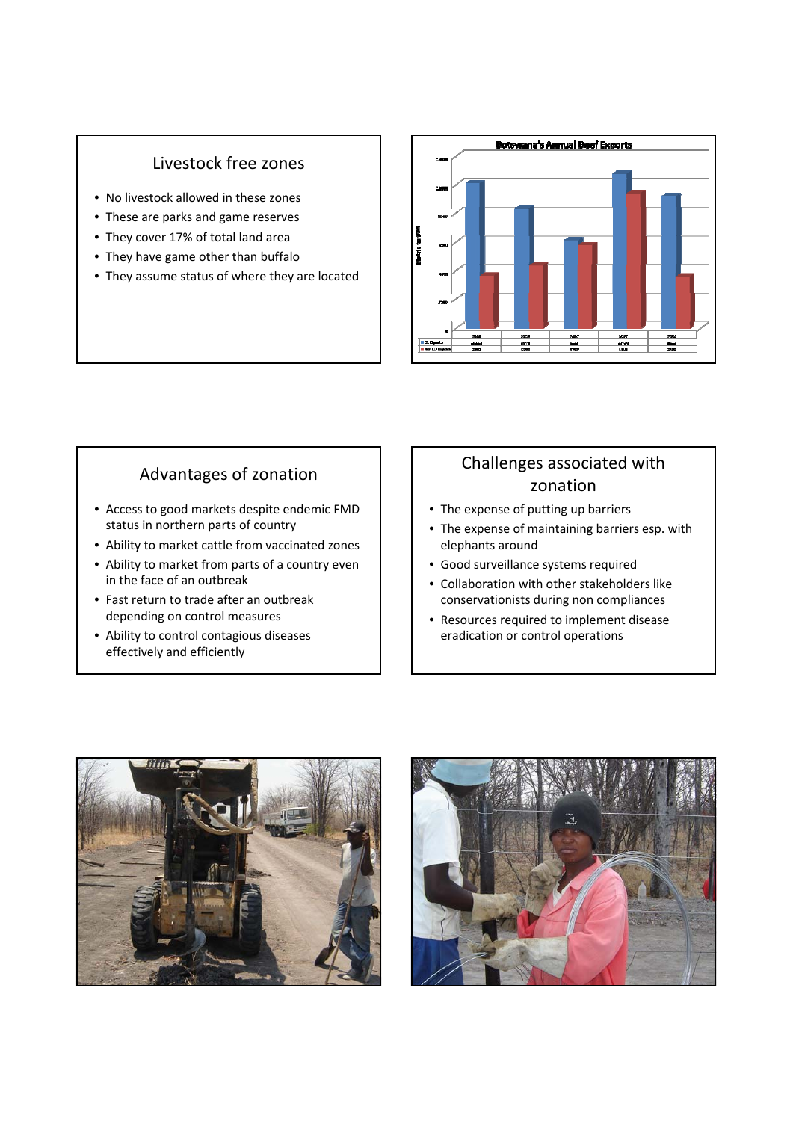#### Livestock free zones

- No livestock allowed in these zones
- These are parks and game reserves
- They cover 17% of total land area
- They have game other than buffalo
- They assume status of where they are located



### Advantages of zonation

- Access to good markets despite endemic FMD status in northern parts of country
- Ability to market cattle from vaccinated zones
- Ability to market from parts of a country even in the face of an outbreak
- Fast return to trade after an outbreak depending on control measures
- Ability to control contagious diseases effectively and efficiently

# Challenges associated with zonation

- The expense of putting up barriers
- The expense of maintaining barriers esp. with elephants around
- Good surveillance systems required
- Collaboration with other stakeholders like conservationists during non compliances
- Resources required to implement disease eradication or control operations